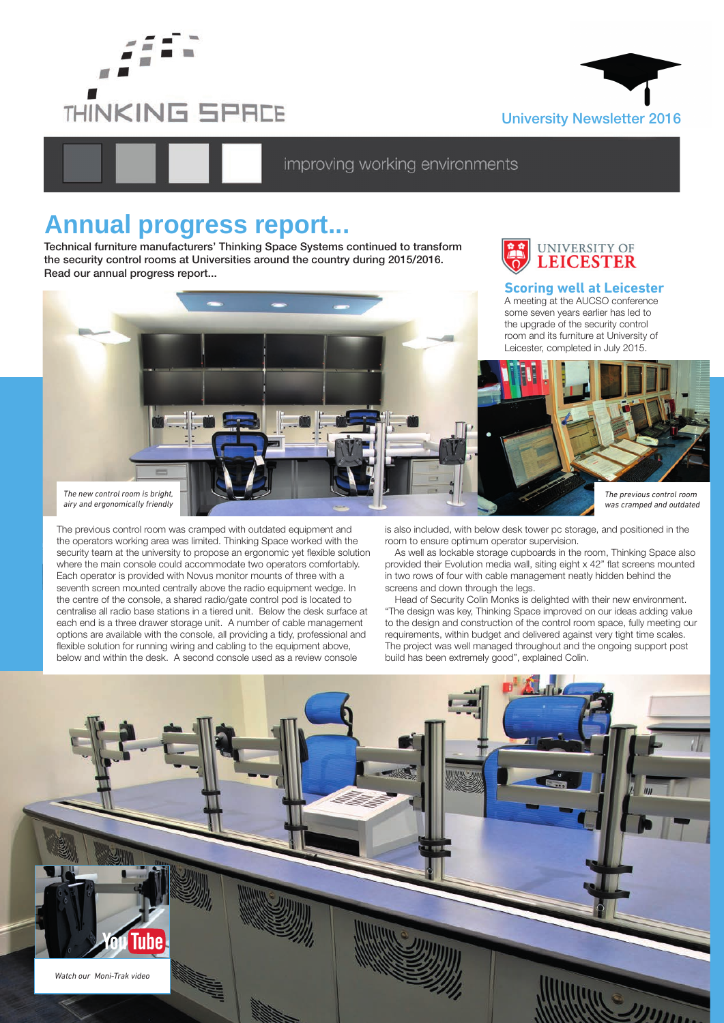



# improving working environments

# **Annual progress report...**

Technical furniture manufacturers' Thinking Space Systems continued to transform the security control rooms at Universities around the country during 2015/2016. Read our annual progress report...



# **Scoring well at Leicester**

A meeting at the AUCSO conference some seven years earlier has led to the upgrade of the security control



The previous control room was cramped with outdated equipment and the operators working area was limited. Thinking Space worked with the security team at the university to propose an ergonomic yet flexible solution where the main console could accommodate two operators comfortably. Each operator is provided with Novus monitor mounts of three with a seventh screen mounted centrally above the radio equipment wedge. In the centre of the console, a shared radio/gate control pod is located to centralise all radio base stations in a tiered unit. Below the desk surface at each end is a three drawer storage unit. A number of cable management options are available with the console, all providing a tidy, professional and flexible solution for running wiring and cabling to the equipment above, below and within the desk. A second console used as a review console

is also included, with below desk tower pc storage, and positioned in the room to ensure optimum operator supervision.

As well as lockable storage cupboards in the room, Thinking Space also provided their Evolution media wall, siting eight x 42" flat screens mounted in two rows of four with cable management neatly hidden behind the screens and down through the legs.

Head of Security Colin Monks is delighted with their new environment. "The design was key, Thinking Space improved on our ideas adding value to the design and construction of the control room space, fully meeting our requirements, within budget and delivered against very tight time scales. The project was well managed throughout and the ongoing support post build has been extremely good", explained Colin.